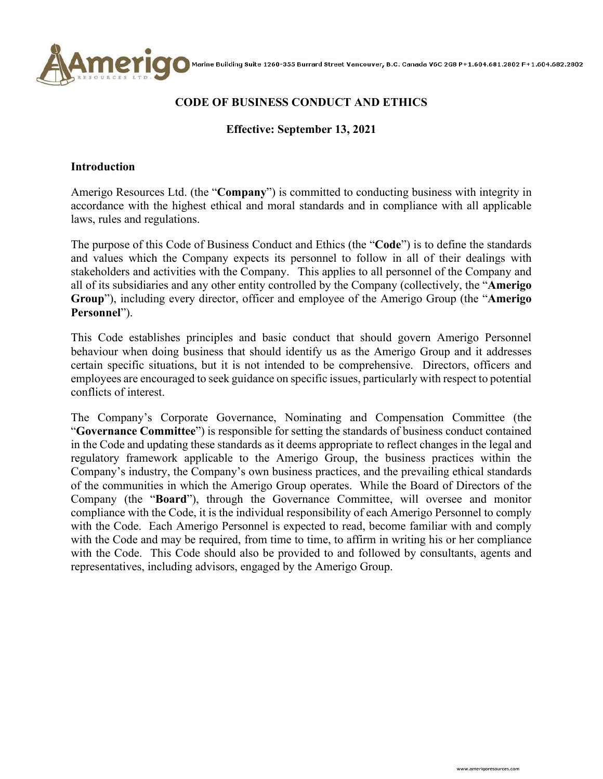

### **CODE OF BUSINESS CONDUCT AND ETHICS**

### **Effective: September 13, 2021**

#### **Introduction**

Amerigo Resources Ltd. (the "**Company**") is committed to conducting business with integrity in accordance with the highest ethical and moral standards and in compliance with all applicable laws, rules and regulations.

The purpose of this Code of Business Conduct and Ethics (the "**Code**") is to define the standards and values which the Company expects its personnel to follow in all of their dealings with stakeholders and activities with the Company. This applies to all personnel of the Company and all of its subsidiaries and any other entity controlled by the Company (collectively, the "**Amerigo Group**"), including every director, officer and employee of the Amerigo Group (the "**Amerigo Personnel**").

This Code establishes principles and basic conduct that should govern Amerigo Personnel behaviour when doing business that should identify us as the Amerigo Group and it addresses certain specific situations, but it is not intended to be comprehensive. Directors, officers and employees are encouraged to seek guidance on specific issues, particularly with respect to potential conflicts of interest.

The Company's Corporate Governance, Nominating and Compensation Committee (the "**Governance Committee**") is responsible for setting the standards of business conduct contained in the Code and updating these standards as it deems appropriate to reflect changes in the legal and regulatory framework applicable to the Amerigo Group, the business practices within the Company's industry, the Company's own business practices, and the prevailing ethical standards of the communities in which the Amerigo Group operates. While the Board of Directors of the Company (the "**Board**"), through the Governance Committee, will oversee and monitor compliance with the Code, it is the individual responsibility of each Amerigo Personnel to comply with the Code. Each Amerigo Personnel is expected to read, become familiar with and comply with the Code and may be required, from time to time, to affirm in writing his or her compliance with the Code. This Code should also be provided to and followed by consultants, agents and representatives, including advisors, engaged by the Amerigo Group.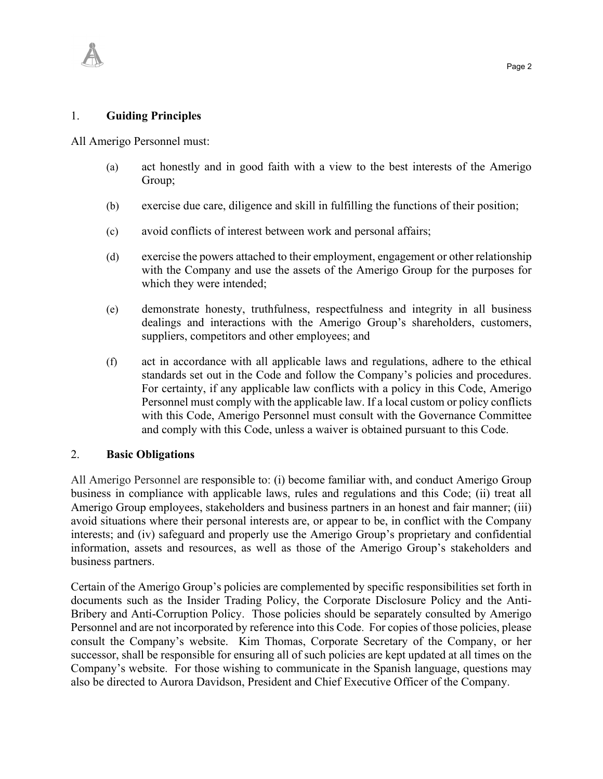

All Amerigo Personnel must:

1. **Guiding Principles**

- (a) act honestly and in good faith with a view to the best interests of the Amerigo Group;
- (b) exercise due care, diligence and skill in fulfilling the functions of their position;
- (c) avoid conflicts of interest between work and personal affairs;
- (d) exercise the powers attached to their employment, engagement or other relationship with the Company and use the assets of the Amerigo Group for the purposes for which they were intended;
- (e) demonstrate honesty, truthfulness, respectfulness and integrity in all business dealings and interactions with the Amerigo Group's shareholders, customers, suppliers, competitors and other employees; and
- (f) act in accordance with all applicable laws and regulations, adhere to the ethical standards set out in the Code and follow the Company's policies and procedures. For certainty, if any applicable law conflicts with a policy in this Code, Amerigo Personnel must comply with the applicable law. If a local custom or policy conflicts with this Code, Amerigo Personnel must consult with the Governance Committee and comply with this Code, unless a waiver is obtained pursuant to this Code.

#### 2. **Basic Obligations**

All Amerigo Personnel are responsible to: (i) become familiar with, and conduct Amerigo Group business in compliance with applicable laws, rules and regulations and this Code; (ii) treat all Amerigo Group employees, stakeholders and business partners in an honest and fair manner; (iii) avoid situations where their personal interests are, or appear to be, in conflict with the Company interests; and (iv) safeguard and properly use the Amerigo Group's proprietary and confidential information, assets and resources, as well as those of the Amerigo Group's stakeholders and business partners.

Certain of the Amerigo Group's policies are complemented by specific responsibilities set forth in documents such as the Insider Trading Policy, the Corporate Disclosure Policy and the Anti-Bribery and Anti-Corruption Policy. Those policies should be separately consulted by Amerigo Personnel and are not incorporated by reference into this Code. For copies of those policies, please consult the Company's website. Kim Thomas, Corporate Secretary of the Company, or her successor, shall be responsible for ensuring all of such policies are kept updated at all times on the Company's website. For those wishing to communicate in the Spanish language, questions may also be directed to Aurora Davidson, President and Chief Executive Officer of the Company.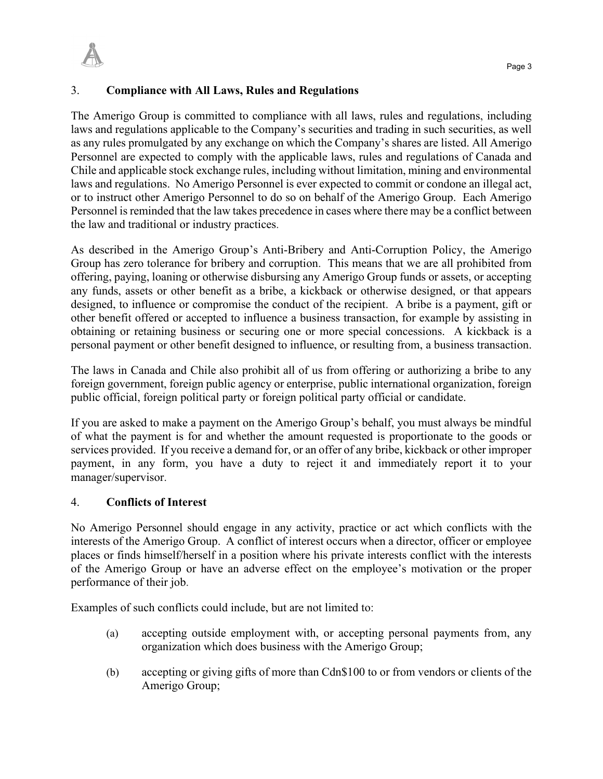

# 3. **Compliance with All Laws, Rules and Regulations**

The Amerigo Group is committed to compliance with all laws, rules and regulations, including laws and regulations applicable to the Company's securities and trading in such securities, as well as any rules promulgated by any exchange on which the Company's shares are listed. All Amerigo Personnel are expected to comply with the applicable laws, rules and regulations of Canada and Chile and applicable stock exchange rules, including without limitation, mining and environmental laws and regulations. No Amerigo Personnel is ever expected to commit or condone an illegal act, or to instruct other Amerigo Personnel to do so on behalf of the Amerigo Group. Each Amerigo Personnel is reminded that the law takes precedence in cases where there may be a conflict between the law and traditional or industry practices.

As described in the Amerigo Group's Anti-Bribery and Anti-Corruption Policy, the Amerigo Group has zero tolerance for bribery and corruption. This means that we are all prohibited from offering, paying, loaning or otherwise disbursing any Amerigo Group funds or assets, or accepting any funds, assets or other benefit as a bribe, a kickback or otherwise designed, or that appears designed, to influence or compromise the conduct of the recipient. A bribe is a payment, gift or other benefit offered or accepted to influence a business transaction, for example by assisting in obtaining or retaining business or securing one or more special concessions. A kickback is a personal payment or other benefit designed to influence, or resulting from, a business transaction.

The laws in Canada and Chile also prohibit all of us from offering or authorizing a bribe to any foreign government, foreign public agency or enterprise, public international organization, foreign public official, foreign political party or foreign political party official or candidate.

If you are asked to make a payment on the Amerigo Group's behalf, you must always be mindful of what the payment is for and whether the amount requested is proportionate to the goods or services provided. If you receive a demand for, or an offer of any bribe, kickback or other improper payment, in any form, you have a duty to reject it and immediately report it to your manager/supervisor.

# 4. **Conflicts of Interest**

No Amerigo Personnel should engage in any activity, practice or act which conflicts with the interests of the Amerigo Group. A conflict of interest occurs when a director, officer or employee places or finds himself/herself in a position where his private interests conflict with the interests of the Amerigo Group or have an adverse effect on the employee's motivation or the proper performance of their job.

Examples of such conflicts could include, but are not limited to:

- (a) accepting outside employment with, or accepting personal payments from, any organization which does business with the Amerigo Group;
- (b) accepting or giving gifts of more than Cdn\$100 to or from vendors or clients of the Amerigo Group;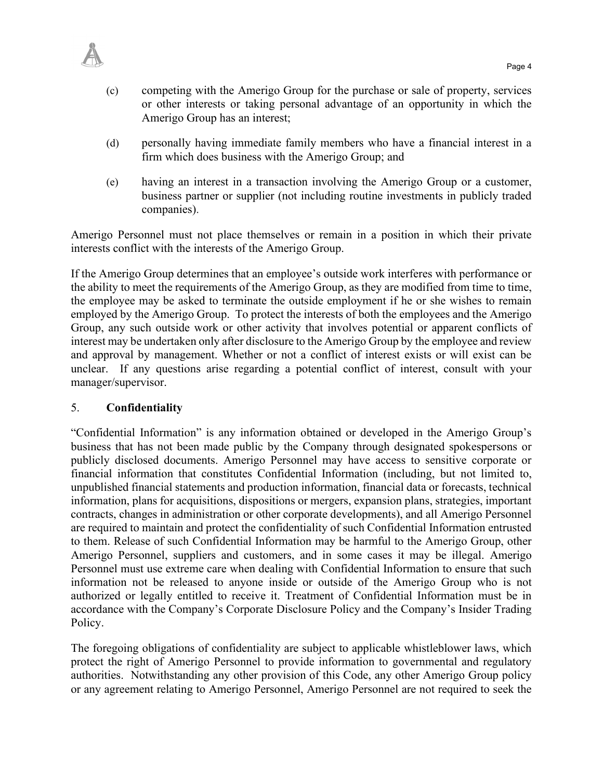- (c) competing with the Amerigo Group for the purchase or sale of property, services or other interests or taking personal advantage of an opportunity in which the Amerigo Group has an interest;
- (d) personally having immediate family members who have a financial interest in a firm which does business with the Amerigo Group; and
- (e) having an interest in a transaction involving the Amerigo Group or a customer, business partner or supplier (not including routine investments in publicly traded companies).

Amerigo Personnel must not place themselves or remain in a position in which their private interests conflict with the interests of the Amerigo Group.

If the Amerigo Group determines that an employee's outside work interferes with performance or the ability to meet the requirements of the Amerigo Group, as they are modified from time to time, the employee may be asked to terminate the outside employment if he or she wishes to remain employed by the Amerigo Group. To protect the interests of both the employees and the Amerigo Group, any such outside work or other activity that involves potential or apparent conflicts of interest may be undertaken only after disclosure to the Amerigo Group by the employee and review and approval by management. Whether or not a conflict of interest exists or will exist can be unclear. If any questions arise regarding a potential conflict of interest, consult with your manager/supervisor.

# 5. **Confidentiality**

"Confidential Information" is any information obtained or developed in the Amerigo Group's business that has not been made public by the Company through designated spokespersons or publicly disclosed documents. Amerigo Personnel may have access to sensitive corporate or financial information that constitutes Confidential Information (including, but not limited to, unpublished financial statements and production information, financial data or forecasts, technical information, plans for acquisitions, dispositions or mergers, expansion plans, strategies, important contracts, changes in administration or other corporate developments), and all Amerigo Personnel are required to maintain and protect the confidentiality of such Confidential Information entrusted to them. Release of such Confidential Information may be harmful to the Amerigo Group, other Amerigo Personnel, suppliers and customers, and in some cases it may be illegal. Amerigo Personnel must use extreme care when dealing with Confidential Information to ensure that such information not be released to anyone inside or outside of the Amerigo Group who is not authorized or legally entitled to receive it. Treatment of Confidential Information must be in accordance with the Company's Corporate Disclosure Policy and the Company's Insider Trading Policy.

The foregoing obligations of confidentiality are subject to applicable whistleblower laws, which protect the right of Amerigo Personnel to provide information to governmental and regulatory authorities. Notwithstanding any other provision of this Code, any other Amerigo Group policy or any agreement relating to Amerigo Personnel, Amerigo Personnel are not required to seek the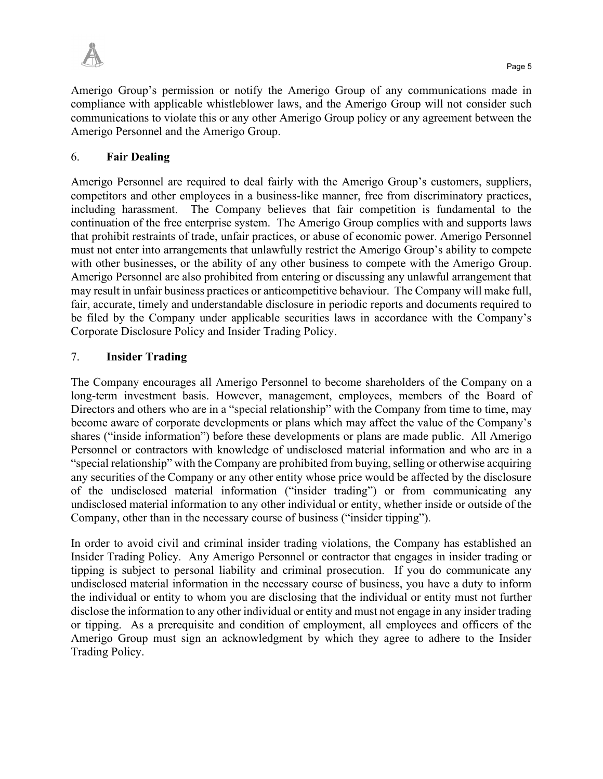

Amerigo Group's permission or notify the Amerigo Group of any communications made in compliance with applicable whistleblower laws, and the Amerigo Group will not consider such communications to violate this or any other Amerigo Group policy or any agreement between the Amerigo Personnel and the Amerigo Group.

### 6. **Fair Dealing**

Amerigo Personnel are required to deal fairly with the Amerigo Group's customers, suppliers, competitors and other employees in a business-like manner, free from discriminatory practices, including harassment. The Company believes that fair competition is fundamental to the continuation of the free enterprise system. The Amerigo Group complies with and supports laws that prohibit restraints of trade, unfair practices, or abuse of economic power. Amerigo Personnel must not enter into arrangements that unlawfully restrict the Amerigo Group's ability to compete with other businesses, or the ability of any other business to compete with the Amerigo Group. Amerigo Personnel are also prohibited from entering or discussing any unlawful arrangement that may result in unfair business practices or anticompetitive behaviour. The Company will make full, fair, accurate, timely and understandable disclosure in periodic reports and documents required to be filed by the Company under applicable securities laws in accordance with the Company's Corporate Disclosure Policy and Insider Trading Policy.

#### 7. **Insider Trading**

The Company encourages all Amerigo Personnel to become shareholders of the Company on a long-term investment basis. However, management, employees, members of the Board of Directors and others who are in a "special relationship" with the Company from time to time, may become aware of corporate developments or plans which may affect the value of the Company's shares ("inside information") before these developments or plans are made public. All Amerigo Personnel or contractors with knowledge of undisclosed material information and who are in a "special relationship" with the Company are prohibited from buying, selling or otherwise acquiring any securities of the Company or any other entity whose price would be affected by the disclosure of the undisclosed material information ("insider trading") or from communicating any undisclosed material information to any other individual or entity, whether inside or outside of the Company, other than in the necessary course of business ("insider tipping").

In order to avoid civil and criminal insider trading violations, the Company has established an Insider Trading Policy. Any Amerigo Personnel or contractor that engages in insider trading or tipping is subject to personal liability and criminal prosecution. If you do communicate any undisclosed material information in the necessary course of business, you have a duty to inform the individual or entity to whom you are disclosing that the individual or entity must not further disclose the information to any other individual or entity and must not engage in any insider trading or tipping. As a prerequisite and condition of employment, all employees and officers of the Amerigo Group must sign an acknowledgment by which they agree to adhere to the Insider Trading Policy.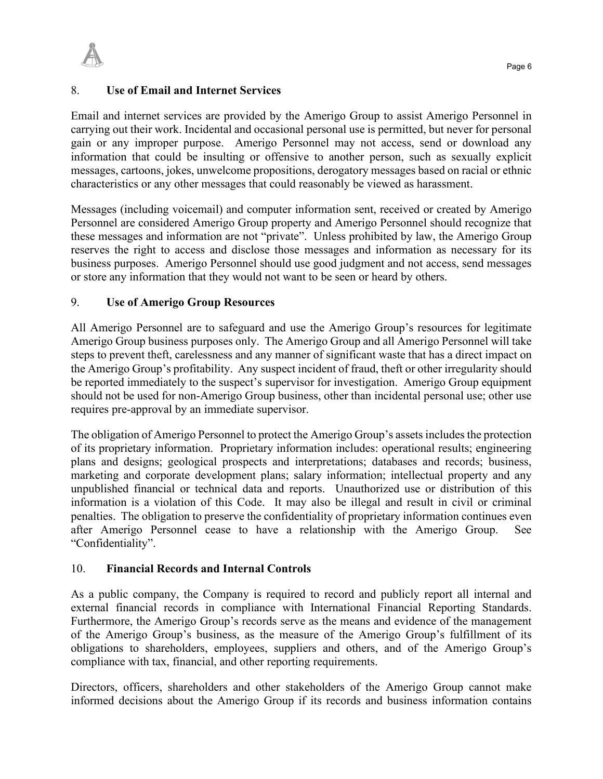

### 8. **Use of Email and Internet Services**

Email and internet services are provided by the Amerigo Group to assist Amerigo Personnel in carrying out their work. Incidental and occasional personal use is permitted, but never for personal gain or any improper purpose. Amerigo Personnel may not access, send or download any information that could be insulting or offensive to another person, such as sexually explicit messages, cartoons, jokes, unwelcome propositions, derogatory messages based on racial or ethnic characteristics or any other messages that could reasonably be viewed as harassment.

Messages (including voicemail) and computer information sent, received or created by Amerigo Personnel are considered Amerigo Group property and Amerigo Personnel should recognize that these messages and information are not "private". Unless prohibited by law, the Amerigo Group reserves the right to access and disclose those messages and information as necessary for its business purposes. Amerigo Personnel should use good judgment and not access, send messages or store any information that they would not want to be seen or heard by others.

### 9. **Use of Amerigo Group Resources**

All Amerigo Personnel are to safeguard and use the Amerigo Group's resources for legitimate Amerigo Group business purposes only. The Amerigo Group and all Amerigo Personnel will take steps to prevent theft, carelessness and any manner of significant waste that has a direct impact on the Amerigo Group's profitability. Any suspect incident of fraud, theft or other irregularity should be reported immediately to the suspect's supervisor for investigation. Amerigo Group equipment should not be used for non-Amerigo Group business, other than incidental personal use; other use requires pre-approval by an immediate supervisor.

The obligation of Amerigo Personnel to protect the Amerigo Group's assets includes the protection of its proprietary information. Proprietary information includes: operational results; engineering plans and designs; geological prospects and interpretations; databases and records; business, marketing and corporate development plans; salary information; intellectual property and any unpublished financial or technical data and reports. Unauthorized use or distribution of this information is a violation of this Code. It may also be illegal and result in civil or criminal penalties. The obligation to preserve the confidentiality of proprietary information continues even after Amerigo Personnel cease to have a relationship with the Amerigo Group. See "Confidentiality".

#### 10. **Financial Records and Internal Controls**

As a public company, the Company is required to record and publicly report all internal and external financial records in compliance with International Financial Reporting Standards. Furthermore, the Amerigo Group's records serve as the means and evidence of the management of the Amerigo Group's business, as the measure of the Amerigo Group's fulfillment of its obligations to shareholders, employees, suppliers and others, and of the Amerigo Group's compliance with tax, financial, and other reporting requirements.

Directors, officers, shareholders and other stakeholders of the Amerigo Group cannot make informed decisions about the Amerigo Group if its records and business information contains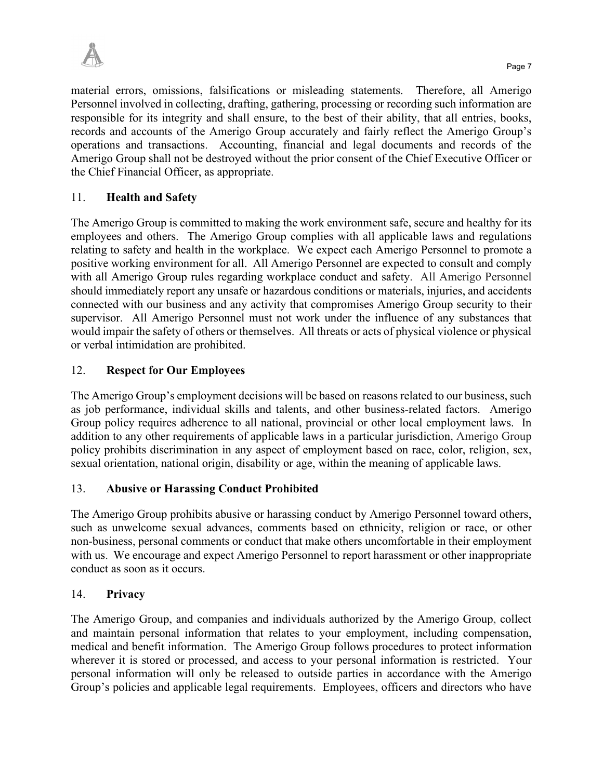

material errors, omissions, falsifications or misleading statements. Therefore, all Amerigo Personnel involved in collecting, drafting, gathering, processing or recording such information are responsible for its integrity and shall ensure, to the best of their ability, that all entries, books, records and accounts of the Amerigo Group accurately and fairly reflect the Amerigo Group's operations and transactions. Accounting, financial and legal documents and records of the Amerigo Group shall not be destroyed without the prior consent of the Chief Executive Officer or the Chief Financial Officer, as appropriate.

# 11. **Health and Safety**

The Amerigo Group is committed to making the work environment safe, secure and healthy for its employees and others. The Amerigo Group complies with all applicable laws and regulations relating to safety and health in the workplace. We expect each Amerigo Personnel to promote a positive working environment for all. All Amerigo Personnel are expected to consult and comply with all Amerigo Group rules regarding workplace conduct and safety. All Amerigo Personnel should immediately report any unsafe or hazardous conditions or materials, injuries, and accidents connected with our business and any activity that compromises Amerigo Group security to their supervisor. All Amerigo Personnel must not work under the influence of any substances that would impair the safety of others or themselves. All threats or acts of physical violence or physical or verbal intimidation are prohibited.

# 12. **Respect for Our Employees**

The Amerigo Group's employment decisions will be based on reasons related to our business, such as job performance, individual skills and talents, and other business-related factors. Amerigo Group policy requires adherence to all national, provincial or other local employment laws. In addition to any other requirements of applicable laws in a particular jurisdiction, Amerigo Group policy prohibits discrimination in any aspect of employment based on race, color, religion, sex, sexual orientation, national origin, disability or age, within the meaning of applicable laws.

# 13. **Abusive or Harassing Conduct Prohibited**

The Amerigo Group prohibits abusive or harassing conduct by Amerigo Personnel toward others, such as unwelcome sexual advances, comments based on ethnicity, religion or race, or other non-business, personal comments or conduct that make others uncomfortable in their employment with us. We encourage and expect Amerigo Personnel to report harassment or other inappropriate conduct as soon as it occurs.

# 14. **Privacy**

The Amerigo Group, and companies and individuals authorized by the Amerigo Group, collect and maintain personal information that relates to your employment, including compensation, medical and benefit information. The Amerigo Group follows procedures to protect information wherever it is stored or processed, and access to your personal information is restricted. Your personal information will only be released to outside parties in accordance with the Amerigo Group's policies and applicable legal requirements. Employees, officers and directors who have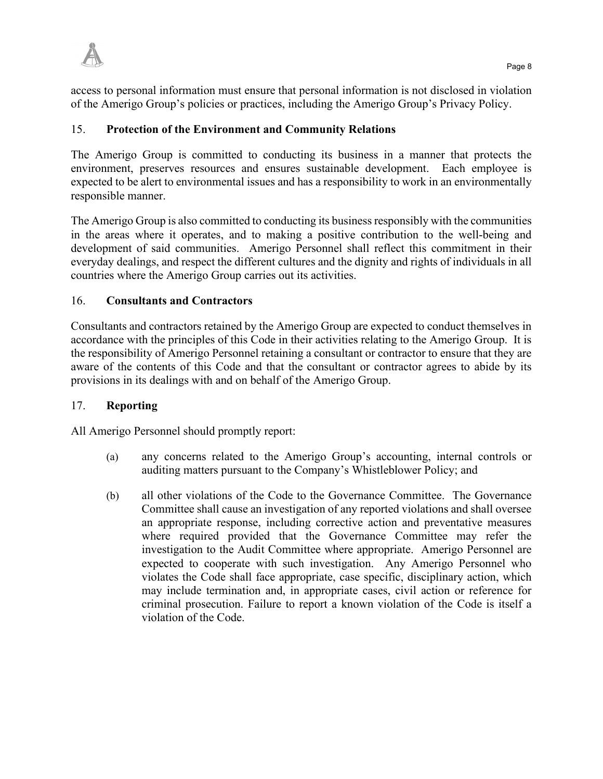access to personal information must ensure that personal information is not disclosed in violation of the Amerigo Group's policies or practices, including the Amerigo Group's Privacy Policy.

# 15. **Protection of the Environment and Community Relations**

The Amerigo Group is committed to conducting its business in a manner that protects the environment, preserves resources and ensures sustainable development. Each employee is expected to be alert to environmental issues and has a responsibility to work in an environmentally responsible manner.

The Amerigo Group is also committed to conducting its business responsibly with the communities in the areas where it operates, and to making a positive contribution to the well-being and development of said communities. Amerigo Personnel shall reflect this commitment in their everyday dealings, and respect the different cultures and the dignity and rights of individuals in all countries where the Amerigo Group carries out its activities.

# 16. **Consultants and Contractors**

Consultants and contractors retained by the Amerigo Group are expected to conduct themselves in accordance with the principles of this Code in their activities relating to the Amerigo Group. It is the responsibility of Amerigo Personnel retaining a consultant or contractor to ensure that they are aware of the contents of this Code and that the consultant or contractor agrees to abide by its provisions in its dealings with and on behalf of the Amerigo Group.

# 17. **Reporting**

All Amerigo Personnel should promptly report:

- (a) any concerns related to the Amerigo Group's accounting, internal controls or auditing matters pursuant to the Company's Whistleblower Policy; and
- (b) all other violations of the Code to the Governance Committee. The Governance Committee shall cause an investigation of any reported violations and shall oversee an appropriate response, including corrective action and preventative measures where required provided that the Governance Committee may refer the investigation to the Audit Committee where appropriate. Amerigo Personnel are expected to cooperate with such investigation. Any Amerigo Personnel who violates the Code shall face appropriate, case specific, disciplinary action, which may include termination and, in appropriate cases, civil action or reference for criminal prosecution. Failure to report a known violation of the Code is itself a violation of the Code.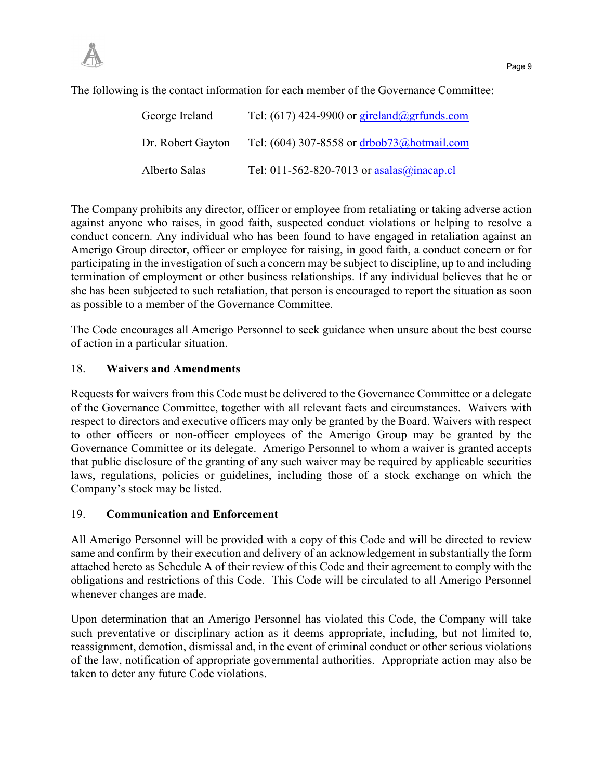The following is the contact information for each member of the Governance Committee:

| George Ireland    | Tel: (617) 424-9900 or gireland@grfunds.com  |
|-------------------|----------------------------------------------|
| Dr. Robert Gayton | Tel: (604) 307-8558 or drbob73@hotmail.com   |
| Alberto Salas     | Tel: 011-562-820-7013 or $asalas@inacap$ .cl |

The Company prohibits any director, officer or employee from retaliating or taking adverse action against anyone who raises, in good faith, suspected conduct violations or helping to resolve a conduct concern. Any individual who has been found to have engaged in retaliation against an Amerigo Group director, officer or employee for raising, in good faith, a conduct concern or for participating in the investigation of such a concern may be subject to discipline, up to and including termination of employment or other business relationships. If any individual believes that he or she has been subjected to such retaliation, that person is encouraged to report the situation as soon as possible to a member of the Governance Committee.

The Code encourages all Amerigo Personnel to seek guidance when unsure about the best course of action in a particular situation.

#### 18. **Waivers and Amendments**

Requests for waivers from this Code must be delivered to the Governance Committee or a delegate of the Governance Committee, together with all relevant facts and circumstances. Waivers with respect to directors and executive officers may only be granted by the Board. Waivers with respect to other officers or non-officer employees of the Amerigo Group may be granted by the Governance Committee or its delegate. Amerigo Personnel to whom a waiver is granted accepts that public disclosure of the granting of any such waiver may be required by applicable securities laws, regulations, policies or guidelines, including those of a stock exchange on which the Company's stock may be listed.

#### 19. **Communication and Enforcement**

All Amerigo Personnel will be provided with a copy of this Code and will be directed to review same and confirm by their execution and delivery of an acknowledgement in substantially the form attached hereto as Schedule [A](#page-9-0) of their review of this Code and their agreement to comply with the obligations and restrictions of this Code. This Code will be circulated to all Amerigo Personnel whenever changes are made.

Upon determination that an Amerigo Personnel has violated this Code, the Company will take such preventative or disciplinary action as it deems appropriate, including, but not limited to, reassignment, demotion, dismissal and, in the event of criminal conduct or other serious violations of the law, notification of appropriate governmental authorities. Appropriate action may also be taken to deter any future Code violations.